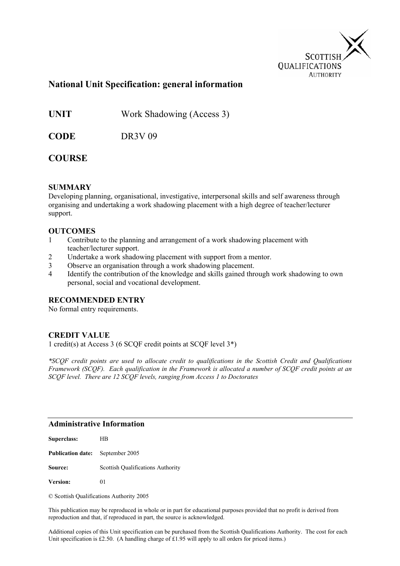

### **National Unit Specification: general information**

**UNIT** Work Shadowing (Access 3)

**CODE** DR3V 09

### **COURSE**

#### **SUMMARY**

Developing planning, organisational, investigative, interpersonal skills and self awareness through organising and undertaking a work shadowing placement with a high degree of teacher/lecturer support.

#### **OUTCOMES**

- 1 Contribute to the planning and arrangement of a work shadowing placement with teacher/lecturer support.
- 2 Undertake a work shadowing placement with support from a mentor.
- 3 Observe an organisation through a work shadowing placement.
- 4 Identify the contribution of the knowledge and skills gained through work shadowing to own personal, social and vocational development.

#### **RECOMMENDED ENTRY**

No formal entry requirements.

#### **CREDIT VALUE**

1 credit(s) at Access 3 (6 SCQF credit points at SCQF level 3\*)

*\*SCQF credit points are used to allocate credit to qualifications in the Scottish Credit and Qualifications Framework (SCQF). Each qualification in the Framework is allocated a number of SCQF credit points at an SCQF level. There are 12 SCQF levels, ranging from Access 1 to Doctorates* 

#### **Administrative Information**

| Superclass:                             | HВ                                |
|-----------------------------------------|-----------------------------------|
| <b>Publication date:</b> September 2005 |                                   |
| Source:                                 | Scottish Qualifications Authority |
| <b>Version:</b>                         | 01                                |

© Scottish Qualifications Authority 2005

This publication may be reproduced in whole or in part for educational purposes provided that no profit is derived from reproduction and that, if reproduced in part, the source is acknowledged.

Additional copies of this Unit specification can be purchased from the Scottish Qualifications Authority. The cost for each Unit specification is £2.50. (A handling charge of £1.95 will apply to all orders for priced items.)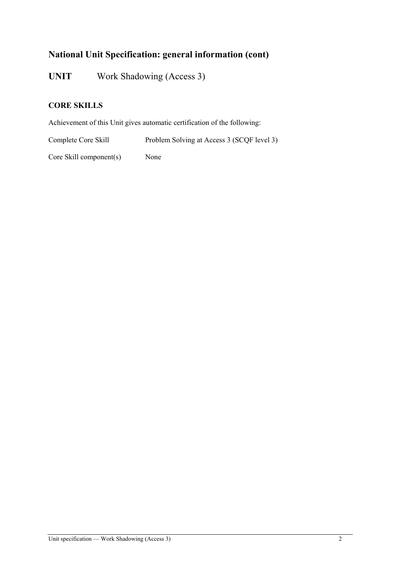# **National Unit Specification: general information (cont)**

**UNIT** Work Shadowing (Access 3)

### **CORE SKILLS**

Achievement of this Unit gives automatic certification of the following:

Complete Core Skill Problem Solving at Access 3 (SCQF level 3)

Core Skill component(s) None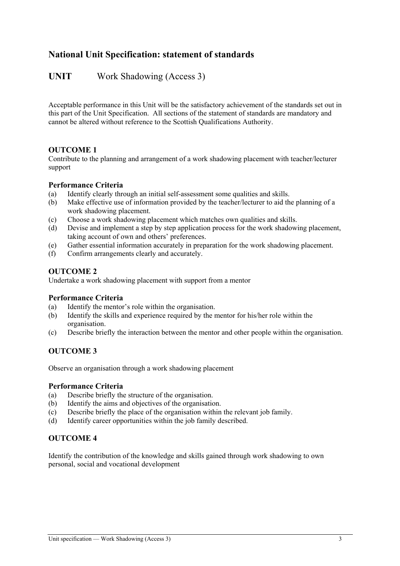# **National Unit Specification: statement of standards**

## UNIT Work Shadowing (Access 3)

Acceptable performance in this Unit will be the satisfactory achievement of the standards set out in this part of the Unit Specification. All sections of the statement of standards are mandatory and cannot be altered without reference to the Scottish Qualifications Authority.

#### **OUTCOME 1**

Contribute to the planning and arrangement of a work shadowing placement with teacher/lecturer support

#### **Performance Criteria**

- (a) Identify clearly through an initial self-assessment some qualities and skills.
- (b) Make effective use of information provided by the teacher/lecturer to aid the planning of a work shadowing placement.
- (c) Choose a work shadowing placement which matches own qualities and skills.
- (d) Devise and implement a step by step application process for the work shadowing placement, taking account of own and others' preferences.
- (e) Gather essential information accurately in preparation for the work shadowing placement.
- (f) Confirm arrangements clearly and accurately.

#### **OUTCOME 2**

Undertake a work shadowing placement with support from a mentor

#### **Performance Criteria**

- (a) Identify the mentor's role within the organisation.
- (b) Identify the skills and experience required by the mentor for his/her role within the organisation.
- (c) Describe briefly the interaction between the mentor and other people within the organisation.

#### **OUTCOME 3**

Observe an organisation through a work shadowing placement

#### **Performance Criteria**

- (a) Describe briefly the structure of the organisation.
- (b) Identify the aims and objectives of the organisation.
- (c) Describe briefly the place of the organisation within the relevant job family.
- (d) Identify career opportunities within the job family described.

#### **OUTCOME 4**

Identify the contribution of the knowledge and skills gained through work shadowing to own personal, social and vocational development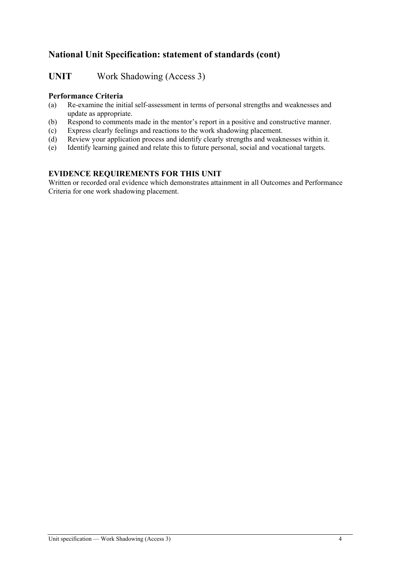# **National Unit Specification: statement of standards (cont)**

**UNIT** Work Shadowing (Access 3)

#### **Performance Criteria**

- (a) Re-examine the initial self-assessment in terms of personal strengths and weaknesses and update as appropriate.
- (b) Respond to comments made in the mentor's report in a positive and constructive manner.
- (c) Express clearly feelings and reactions to the work shadowing placement.
- (d) Review your application process and identify clearly strengths and weaknesses within it.
- (e) Identify learning gained and relate this to future personal, social and vocational targets.

#### **EVIDENCE REQUIREMENTS FOR THIS UNIT**

Written or recorded oral evidence which demonstrates attainment in all Outcomes and Performance Criteria for one work shadowing placement.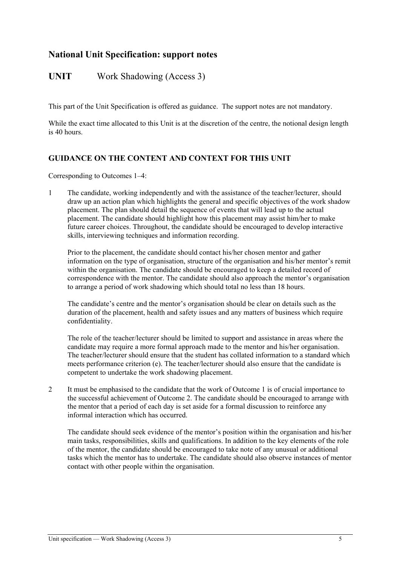## **National Unit Specification: support notes**

### UNIT Work Shadowing (Access 3)

This part of the Unit Specification is offered as guidance. The support notes are not mandatory.

While the exact time allocated to this Unit is at the discretion of the centre, the notional design length is 40 hours.

#### **GUIDANCE ON THE CONTENT AND CONTEXT FOR THIS UNIT**

Corresponding to Outcomes 1–4:

1 The candidate, working independently and with the assistance of the teacher/lecturer, should draw up an action plan which highlights the general and specific objectives of the work shadow placement. The plan should detail the sequence of events that will lead up to the actual placement. The candidate should highlight how this placement may assist him/her to make future career choices. Throughout, the candidate should be encouraged to develop interactive skills, interviewing techniques and information recording.

Prior to the placement, the candidate should contact his/her chosen mentor and gather information on the type of organisation, structure of the organisation and his/her mentor's remit within the organisation. The candidate should be encouraged to keep a detailed record of correspondence with the mentor. The candidate should also approach the mentor's organisation to arrange a period of work shadowing which should total no less than 18 hours.

The candidate's centre and the mentor's organisation should be clear on details such as the duration of the placement, health and safety issues and any matters of business which require confidentiality.

The role of the teacher/lecturer should be limited to support and assistance in areas where the candidate may require a more formal approach made to the mentor and his/her organisation. The teacher/lecturer should ensure that the student has collated information to a standard which meets performance criterion (e). The teacher/lecturer should also ensure that the candidate is competent to undertake the work shadowing placement.

2 It must be emphasised to the candidate that the work of Outcome 1 is of crucial importance to the successful achievement of Outcome 2. The candidate should be encouraged to arrange with the mentor that a period of each day is set aside for a formal discussion to reinforce any informal interaction which has occurred.

The candidate should seek evidence of the mentor's position within the organisation and his/her main tasks, responsibilities, skills and qualifications. In addition to the key elements of the role of the mentor, the candidate should be encouraged to take note of any unusual or additional tasks which the mentor has to undertake. The candidate should also observe instances of mentor contact with other people within the organisation.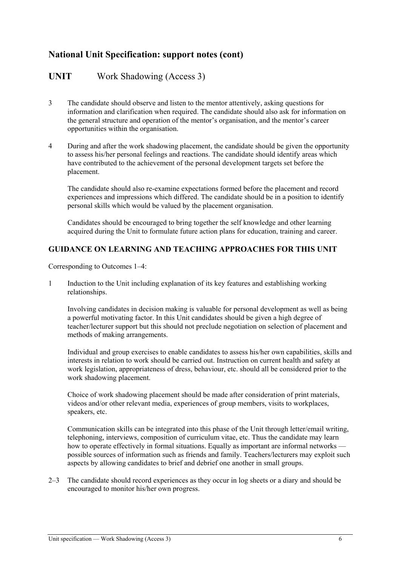# **National Unit Specification: support notes (cont)**

## **UNIT** Work Shadowing (Access 3)

- 3 The candidate should observe and listen to the mentor attentively, asking questions for information and clarification when required. The candidate should also ask for information on the general structure and operation of the mentor's organisation, and the mentor's career opportunities within the organisation.
- 4 During and after the work shadowing placement, the candidate should be given the opportunity to assess his/her personal feelings and reactions. The candidate should identify areas which have contributed to the achievement of the personal development targets set before the placement.

The candidate should also re-examine expectations formed before the placement and record experiences and impressions which differed. The candidate should be in a position to identify personal skills which would be valued by the placement organisation.

Candidates should be encouraged to bring together the self knowledge and other learning acquired during the Unit to formulate future action plans for education, training and career.

#### **GUIDANCE ON LEARNING AND TEACHING APPROACHES FOR THIS UNIT**

Corresponding to Outcomes 1–4:

1 Induction to the Unit including explanation of its key features and establishing working relationships.

Involving candidates in decision making is valuable for personal development as well as being a powerful motivating factor. In this Unit candidates should be given a high degree of teacher/lecturer support but this should not preclude negotiation on selection of placement and methods of making arrangements.

Individual and group exercises to enable candidates to assess his/her own capabilities, skills and interests in relation to work should be carried out. Instruction on current health and safety at work legislation, appropriateness of dress, behaviour, etc. should all be considered prior to the work shadowing placement.

Choice of work shadowing placement should be made after consideration of print materials, videos and/or other relevant media, experiences of group members, visits to workplaces, speakers, etc.

Communication skills can be integrated into this phase of the Unit through letter/email writing, telephoning, interviews, composition of curriculum vitae, etc. Thus the candidate may learn how to operate effectively in formal situations. Equally as important are informal networks possible sources of information such as friends and family. Teachers/lecturers may exploit such aspects by allowing candidates to brief and debrief one another in small groups.

2–3 The candidate should record experiences as they occur in log sheets or a diary and should be encouraged to monitor his/her own progress.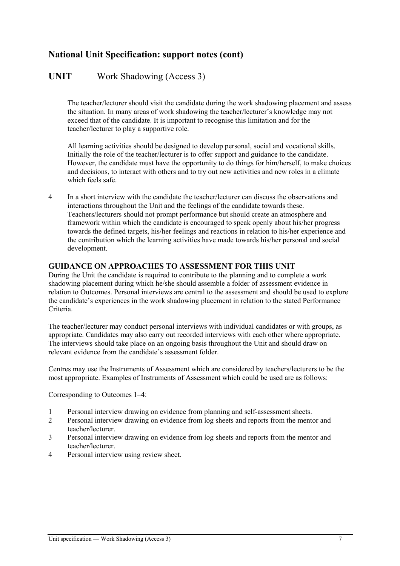# **National Unit Specification: support notes (cont)**

## **UNIT** Work Shadowing (Access 3)

The teacher/lecturer should visit the candidate during the work shadowing placement and assess the situation. In many areas of work shadowing the teacher/lecturer's knowledge may not exceed that of the candidate. It is important to recognise this limitation and for the teacher/lecturer to play a supportive role.

All learning activities should be designed to develop personal, social and vocational skills. Initially the role of the teacher/lecturer is to offer support and guidance to the candidate. However, the candidate must have the opportunity to do things for him/herself, to make choices and decisions, to interact with others and to try out new activities and new roles in a climate which feels safe.

4 In a short interview with the candidate the teacher/lecturer can discuss the observations and interactions throughout the Unit and the feelings of the candidate towards these. Teachers/lecturers should not prompt performance but should create an atmosphere and framework within which the candidate is encouraged to speak openly about his/her progress towards the defined targets, his/her feelings and reactions in relation to his/her experience and the contribution which the learning activities have made towards his/her personal and social development.

#### **GUIDANCE ON APPROACHES TO ASSESSMENT FOR THIS UNIT**

During the Unit the candidate is required to contribute to the planning and to complete a work shadowing placement during which he/she should assemble a folder of assessment evidence in relation to Outcomes. Personal interviews are central to the assessment and should be used to explore the candidate's experiences in the work shadowing placement in relation to the stated Performance Criteria.

The teacher/lecturer may conduct personal interviews with individual candidates or with groups, as appropriate. Candidates may also carry out recorded interviews with each other where appropriate. The interviews should take place on an ongoing basis throughout the Unit and should draw on relevant evidence from the candidate's assessment folder.

Centres may use the Instruments of Assessment which are considered by teachers/lecturers to be the most appropriate. Examples of Instruments of Assessment which could be used are as follows:

Corresponding to Outcomes 1–4:

- 1 Personal interview drawing on evidence from planning and self-assessment sheets.
- 2 Personal interview drawing on evidence from log sheets and reports from the mentor and teacher/lecturer.
- 3 Personal interview drawing on evidence from log sheets and reports from the mentor and teacher/lecturer.
- 4 Personal interview using review sheet.